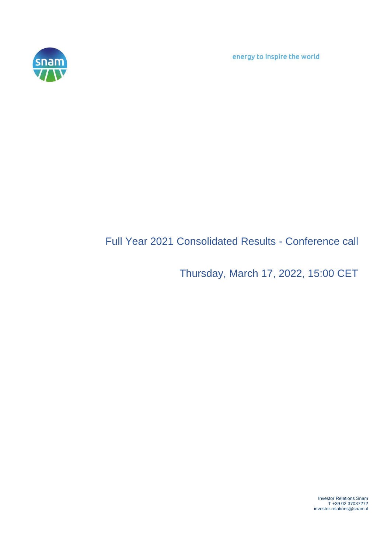energy to inspire the world



# Full Year 2021 Consolidated Results - Conference call

Thursday, March 17, 2022, 15:00 CET

Investor Relations Snam T +39 02 37037272 investor.relations@snam.it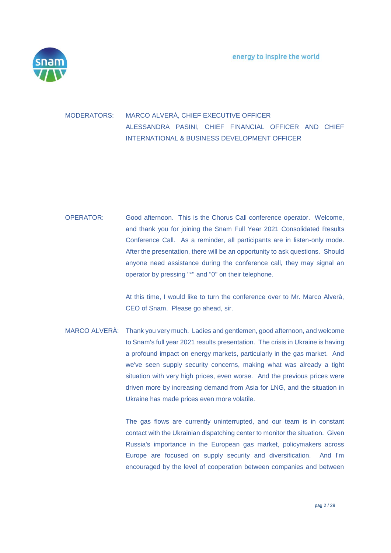

### MODERATORS: MARCO ALVERÀ, CHIEF EXECUTIVE OFFICER ALESSANDRA PASINI, CHIEF FINANCIAL OFFICER AND CHIEF INTERNATIONAL & BUSINESS DEVELOPMENT OFFICER

## OPERATOR: Good afternoon. This is the Chorus Call conference operator. Welcome, and thank you for joining the Snam Full Year 2021 Consolidated Results Conference Call. As a reminder, all participants are in listen-only mode. After the presentation, there will be an opportunity to ask questions. Should anyone need assistance during the conference call, they may signal an operator by pressing "\*" and "0" on their telephone.

At this time, I would like to turn the conference over to Mr. Marco Alverà, CEO of Snam. Please go ahead, sir.

MARCO ALVERÀ: Thank you very much. Ladies and gentlemen, good afternoon, and welcome to Snam's full year 2021 results presentation. The crisis in Ukraine is having a profound impact on energy markets, particularly in the gas market. And we've seen supply security concerns, making what was already a tight situation with very high prices, even worse. And the previous prices were driven more by increasing demand from Asia for LNG, and the situation in Ukraine has made prices even more volatile.

> The gas flows are currently uninterrupted, and our team is in constant contact with the Ukrainian dispatching center to monitor the situation. Given Russia's importance in the European gas market, policymakers across Europe are focused on supply security and diversification. And I'm encouraged by the level of cooperation between companies and between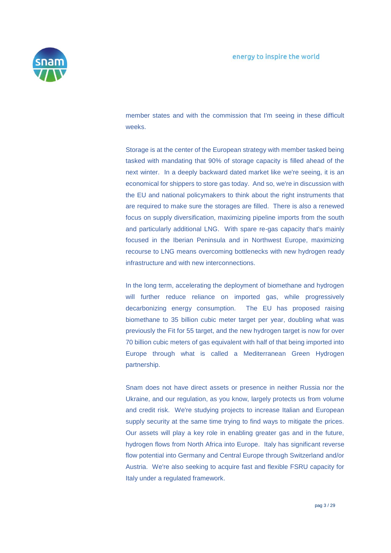

member states and with the commission that I'm seeing in these difficult weeks.

Storage is at the center of the European strategy with member tasked being tasked with mandating that 90% of storage capacity is filled ahead of the next winter. In a deeply backward dated market like we're seeing, it is an economical for shippers to store gas today. And so, we're in discussion with the EU and national policymakers to think about the right instruments that are required to make sure the storages are filled. There is also a renewed focus on supply diversification, maximizing pipeline imports from the south and particularly additional LNG. With spare re-gas capacity that's mainly focused in the Iberian Peninsula and in Northwest Europe, maximizing recourse to LNG means overcoming bottlenecks with new hydrogen ready infrastructure and with new interconnections.

In the long term, accelerating the deployment of biomethane and hydrogen will further reduce reliance on imported gas, while progressively decarbonizing energy consumption. The EU has proposed raising biomethane to 35 billion cubic meter target per year, doubling what was previously the Fit for 55 target, and the new hydrogen target is now for over 70 billion cubic meters of gas equivalent with half of that being imported into Europe through what is called a Mediterranean Green Hydrogen partnership.

Snam does not have direct assets or presence in neither Russia nor the Ukraine, and our regulation, as you know, largely protects us from volume and credit risk. We're studying projects to increase Italian and European supply security at the same time trying to find ways to mitigate the prices. Our assets will play a key role in enabling greater gas and in the future, hydrogen flows from North Africa into Europe. Italy has significant reverse flow potential into Germany and Central Europe through Switzerland and/or Austria. We're also seeking to acquire fast and flexible FSRU capacity for Italy under a regulated framework.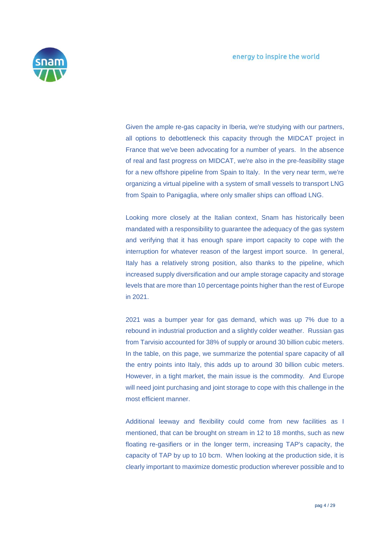

Given the ample re-gas capacity in Iberia, we're studying with our partners, all options to debottleneck this capacity through the MIDCAT project in France that we've been advocating for a number of years. In the absence of real and fast progress on MIDCAT, we're also in the pre-feasibility stage for a new offshore pipeline from Spain to Italy. In the very near term, we're organizing a virtual pipeline with a system of small vessels to transport LNG from Spain to Panigaglia, where only smaller ships can offload LNG.

Looking more closely at the Italian context, Snam has historically been mandated with a responsibility to guarantee the adequacy of the gas system and verifying that it has enough spare import capacity to cope with the interruption for whatever reason of the largest import source. In general, Italy has a relatively strong position, also thanks to the pipeline, which increased supply diversification and our ample storage capacity and storage levels that are more than 10 percentage points higher than the rest of Europe in 2021.

2021 was a bumper year for gas demand, which was up 7% due to a rebound in industrial production and a slightly colder weather. Russian gas from Tarvisio accounted for 38% of supply or around 30 billion cubic meters. In the table, on this page, we summarize the potential spare capacity of all the entry points into Italy, this adds up to around 30 billion cubic meters. However, in a tight market, the main issue is the commodity. And Europe will need joint purchasing and joint storage to cope with this challenge in the most efficient manner.

Additional leeway and flexibility could come from new facilities as I mentioned, that can be brought on stream in 12 to 18 months, such as new floating re-gasifiers or in the longer term, increasing TAP's capacity, the capacity of TAP by up to 10 bcm. When looking at the production side, it is clearly important to maximize domestic production wherever possible and to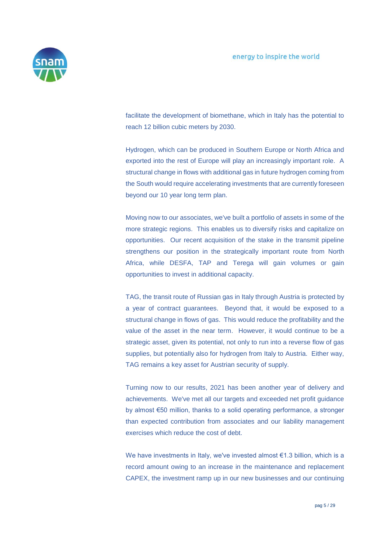

facilitate the development of biomethane, which in Italy has the potential to reach 12 billion cubic meters by 2030.

Hydrogen, which can be produced in Southern Europe or North Africa and exported into the rest of Europe will play an increasingly important role. A structural change in flows with additional gas in future hydrogen coming from the South would require accelerating investments that are currently foreseen beyond our 10 year long term plan.

Moving now to our associates, we've built a portfolio of assets in some of the more strategic regions. This enables us to diversify risks and capitalize on opportunities. Our recent acquisition of the stake in the transmit pipeline strengthens our position in the strategically important route from North Africa, while DESFA, TAP and Terega will gain volumes or gain opportunities to invest in additional capacity.

TAG, the transit route of Russian gas in Italy through Austria is protected by a year of contract guarantees. Beyond that, it would be exposed to a structural change in flows of gas. This would reduce the profitability and the value of the asset in the near term. However, it would continue to be a strategic asset, given its potential, not only to run into a reverse flow of gas supplies, but potentially also for hydrogen from Italy to Austria. Either way, TAG remains a key asset for Austrian security of supply.

Turning now to our results, 2021 has been another year of delivery and achievements. We've met all our targets and exceeded net profit guidance by almost €50 million, thanks to a solid operating performance, a stronger than expected contribution from associates and our liability management exercises which reduce the cost of debt.

We have investments in Italy, we've invested almost €1.3 billion, which is a record amount owing to an increase in the maintenance and replacement CAPEX, the investment ramp up in our new businesses and our continuing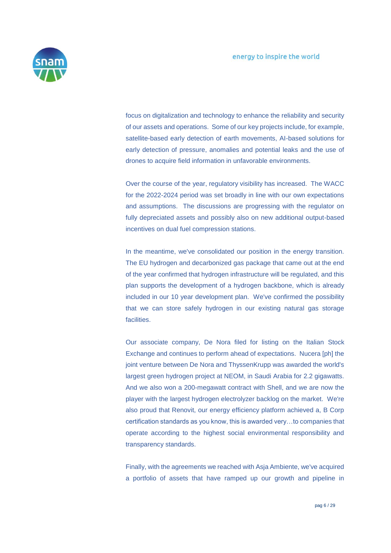

focus on digitalization and technology to enhance the reliability and security of our assets and operations. Some of our key projects include, for example, satellite-based early detection of earth movements, AI-based solutions for early detection of pressure, anomalies and potential leaks and the use of drones to acquire field information in unfavorable environments.

Over the course of the year, regulatory visibility has increased. The WACC for the 2022-2024 period was set broadly in line with our own expectations and assumptions. The discussions are progressing with the regulator on fully depreciated assets and possibly also on new additional output-based incentives on dual fuel compression stations.

In the meantime, we've consolidated our position in the energy transition. The EU hydrogen and decarbonized gas package that came out at the end of the year confirmed that hydrogen infrastructure will be regulated, and this plan supports the development of a hydrogen backbone, which is already included in our 10 year development plan. We've confirmed the possibility that we can store safely hydrogen in our existing natural gas storage facilities.

Our associate company, De Nora filed for listing on the Italian Stock Exchange and continues to perform ahead of expectations. Nucera [ph] the joint venture between De Nora and ThyssenKrupp was awarded the world's largest green hydrogen project at NEOM, in Saudi Arabia for 2.2 gigawatts. And we also won a 200-megawatt contract with Shell, and we are now the player with the largest hydrogen electrolyzer backlog on the market. We're also proud that Renovit, our energy efficiency platform achieved a, B Corp certification standards as you know, this is awarded very…to companies that operate according to the highest social environmental responsibility and transparency standards.

Finally, with the agreements we reached with Asja Ambiente, we've acquired a portfolio of assets that have ramped up our growth and pipeline in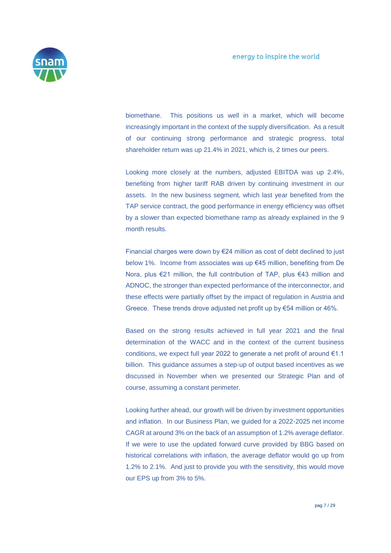

biomethane. This positions us well in a market, which will become increasingly important in the context of the supply diversification. As a result of our continuing strong performance and strategic progress, total shareholder return was up 21.4% in 2021, which is, 2 times our peers.

Looking more closely at the numbers, adjusted EBITDA was up 2.4%, benefiting from higher tariff RAB driven by continuing investment in our assets. In the new business segment, which last year benefited from the TAP service contract, the good performance in energy efficiency was offset by a slower than expected biomethane ramp as already explained in the 9 month results.

Financial charges were down by €24 million as cost of debt declined to just below 1%. Income from associates was up €45 million, benefiting from De Nora, plus €21 million, the full contribution of TAP, plus €43 million and ADNOC, the stronger than expected performance of the interconnector, and these effects were partially offset by the impact of regulation in Austria and Greece. These trends drove adjusted net profit up by €54 million or 46%.

Based on the strong results achieved in full year 2021 and the final determination of the WACC and in the context of the current business conditions, we expect full year 2022 to generate a net profit of around €1.1 billion. This guidance assumes a step-up of output based incentives as we discussed in November when we presented our Strategic Plan and of course, assuming a constant perimeter.

Looking further ahead, our growth will be driven by investment opportunities and inflation. In our Business Plan, we guided for a 2022-2025 net income CAGR at around 3% on the back of an assumption of 1.2% average deflator. If we were to use the updated forward curve provided by BBG based on historical correlations with inflation, the average deflator would go up from 1.2% to 2.1%. And just to provide you with the sensitivity, this would move our EPS up from 3% to 5%.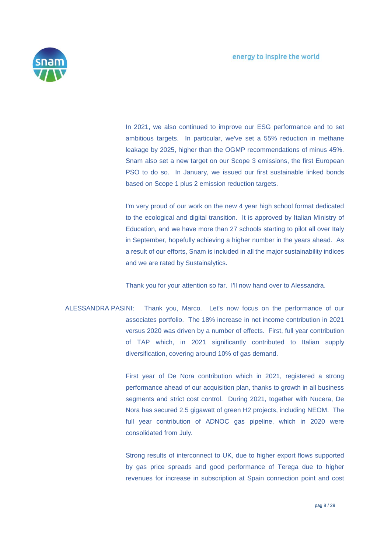

In 2021, we also continued to improve our ESG performance and to set ambitious targets. In particular, we've set a 55% reduction in methane leakage by 2025, higher than the OGMP recommendations of minus 45%. Snam also set a new target on our Scope 3 emissions, the first European PSO to do so. In January, we issued our first sustainable linked bonds based on Scope 1 plus 2 emission reduction targets.

I'm very proud of our work on the new 4 year high school format dedicated to the ecological and digital transition. It is approved by Italian Ministry of Education, and we have more than 27 schools starting to pilot all over Italy in September, hopefully achieving a higher number in the years ahead. As a result of our efforts, Snam is included in all the major sustainability indices and we are rated by Sustainalytics.

Thank you for your attention so far. I'll now hand over to Alessandra.

ALESSANDRA PASINI: Thank you, Marco. Let's now focus on the performance of our associates portfolio. The 18% increase in net income contribution in 2021 versus 2020 was driven by a number of effects. First, full year contribution of TAP which, in 2021 significantly contributed to Italian supply diversification, covering around 10% of gas demand.

> First year of De Nora contribution which in 2021, registered a strong performance ahead of our acquisition plan, thanks to growth in all business segments and strict cost control. During 2021, together with Nucera, De Nora has secured 2.5 gigawatt of green H2 projects, including NEOM. The full year contribution of ADNOC gas pipeline, which in 2020 were consolidated from July.

> Strong results of interconnect to UK, due to higher export flows supported by gas price spreads and good performance of Terega due to higher revenues for increase in subscription at Spain connection point and cost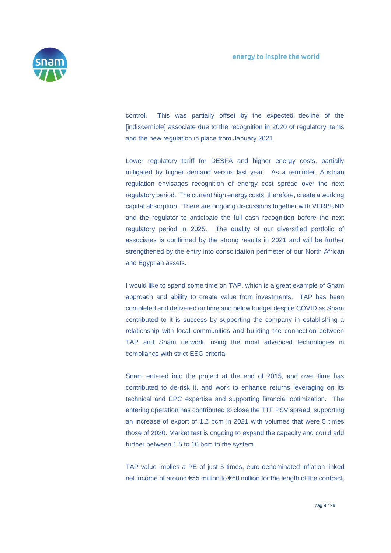

control. This was partially offset by the expected decline of the [indiscernible] associate due to the recognition in 2020 of regulatory items and the new regulation in place from January 2021.

Lower regulatory tariff for DESFA and higher energy costs, partially mitigated by higher demand versus last year. As a reminder, Austrian regulation envisages recognition of energy cost spread over the next regulatory period. The current high energy costs, therefore, create a working capital absorption. There are ongoing discussions together with VERBUND and the regulator to anticipate the full cash recognition before the next regulatory period in 2025. The quality of our diversified portfolio of associates is confirmed by the strong results in 2021 and will be further strengthened by the entry into consolidation perimeter of our North African and Egyptian assets.

I would like to spend some time on TAP, which is a great example of Snam approach and ability to create value from investments. TAP has been completed and delivered on time and below budget despite COVID as Snam contributed to it is success by supporting the company in establishing a relationship with local communities and building the connection between TAP and Snam network, using the most advanced technologies in compliance with strict ESG criteria.

Snam entered into the project at the end of 2015, and over time has contributed to de-risk it, and work to enhance returns leveraging on its technical and EPC expertise and supporting financial optimization. The entering operation has contributed to close the TTF PSV spread, supporting an increase of export of 1.2 bcm in 2021 with volumes that were 5 times those of 2020. Market test is ongoing to expand the capacity and could add further between 1.5 to 10 bcm to the system.

TAP value implies a PE of just 5 times, euro-denominated inflation-linked net income of around €55 million to €60 million for the length of the contract,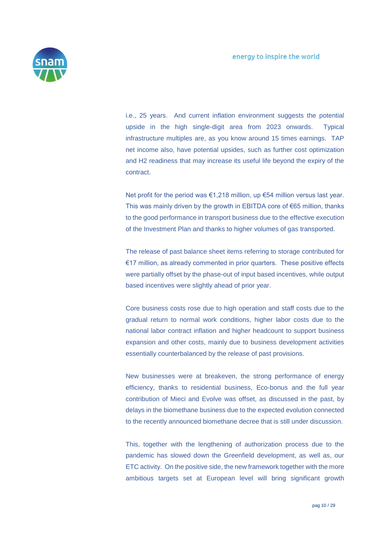

i.e., 25 years. And current inflation environment suggests the potential upside in the high single-digit area from 2023 onwards. Typical infrastructure multiples are, as you know around 15 times earnings. TAP net income also, have potential upsides, such as further cost optimization and H2 readiness that may increase its useful life beyond the expiry of the contract.

Net profit for the period was €1,218 million, up €54 million versus last year. This was mainly driven by the growth in EBITDA core of €65 million, thanks to the good performance in transport business due to the effective execution of the Investment Plan and thanks to higher volumes of gas transported.

The release of past balance sheet items referring to storage contributed for €17 million, as already commented in prior quarters. These positive effects were partially offset by the phase-out of input based incentives, while output based incentives were slightly ahead of prior year.

Core business costs rose due to high operation and staff costs due to the gradual return to normal work conditions, higher labor costs due to the national labor contract inflation and higher headcount to support business expansion and other costs, mainly due to business development activities essentially counterbalanced by the release of past provisions.

New businesses were at breakeven, the strong performance of energy efficiency, thanks to residential business, Eco-bonus and the full year contribution of Mieci and Evolve was offset, as discussed in the past, by delays in the biomethane business due to the expected evolution connected to the recently announced biomethane decree that is still under discussion.

This, together with the lengthening of authorization process due to the pandemic has slowed down the Greenfield development, as well as, our ETC activity. On the positive side, the new framework together with the more ambitious targets set at European level will bring significant growth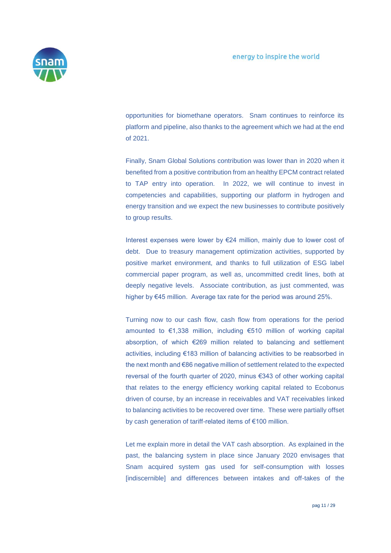

opportunities for biomethane operators. Snam continues to reinforce its platform and pipeline, also thanks to the agreement which we had at the end of 2021.

Finally, Snam Global Solutions contribution was lower than in 2020 when it benefited from a positive contribution from an healthy EPCM contract related to TAP entry into operation. In 2022, we will continue to invest in competencies and capabilities, supporting our platform in hydrogen and energy transition and we expect the new businesses to contribute positively to group results.

Interest expenses were lower by €24 million, mainly due to lower cost of debt. Due to treasury management optimization activities, supported by positive market environment, and thanks to full utilization of ESG label commercial paper program, as well as, uncommitted credit lines, both at deeply negative levels. Associate contribution, as just commented, was higher by €45 million. Average tax rate for the period was around 25%.

Turning now to our cash flow, cash flow from operations for the period amounted to €1,338 million, including €510 million of working capital absorption, of which €269 million related to balancing and settlement activities, including €183 million of balancing activities to be reabsorbed in the next month and €86 negative million of settlement related to the expected reversal of the fourth quarter of 2020, minus €343 of other working capital that relates to the energy efficiency working capital related to Ecobonus driven of course, by an increase in receivables and VAT receivables linked to balancing activities to be recovered over time. These were partially offset by cash generation of tariff-related items of €100 million.

Let me explain more in detail the VAT cash absorption. As explained in the past, the balancing system in place since January 2020 envisages that Snam acquired system gas used for self-consumption with losses [indiscernible] and differences between intakes and off-takes of the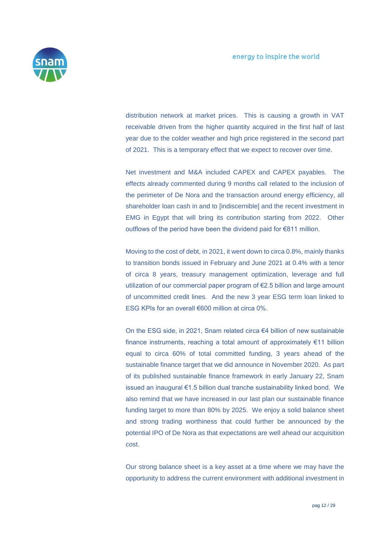

distribution network at market prices. This is causing a growth in VAT receivable driven from the higher quantity acquired in the first half of last year due to the colder weather and high price registered in the second part of 2021. This is a temporary effect that we expect to recover over time.

Net investment and M&A included CAPEX and CAPEX payables. The effects already commented during 9 months call related to the inclusion of the perimeter of De Nora and the transaction around energy efficiency, all shareholder loan cash in and to lindiscernible] and the recent investment in EMG in Egypt that will bring its contribution starting from 2022. Other outflows of the period have been the dividend paid for €811 million.

Moving to the cost of debt, in 2021, it went down to circa 0.8%, mainly thanks to transition bonds issued in February and June 2021 at 0.4% with a tenor of circa 8 years, treasury management optimization, leverage and full utilization of our commercial paper program of €2.5 billion and large amount of uncommitted credit lines. And the new 3 year ESG term loan linked to ESG KPIs for an overall €600 million at circa 0%.

On the ESG side, in 2021, Snam related circa €4 billion of new sustainable finance instruments, reaching a total amount of approximately €11 billion equal to circa 60% of total committed funding, 3 years ahead of the sustainable finance target that we did announce in November 2020. As part of its published sustainable finance framework in early January 22, Snam issued an inaugural €1.5 billion dual tranche sustainability linked bond. We also remind that we have increased in our last plan our sustainable finance funding target to more than 80% by 2025. We enjoy a solid balance sheet and strong trading worthiness that could further be announced by the potential IPO of De Nora as that expectations are well ahead our acquisition cost.

Our strong balance sheet is a key asset at a time where we may have the opportunity to address the current environment with additional investment in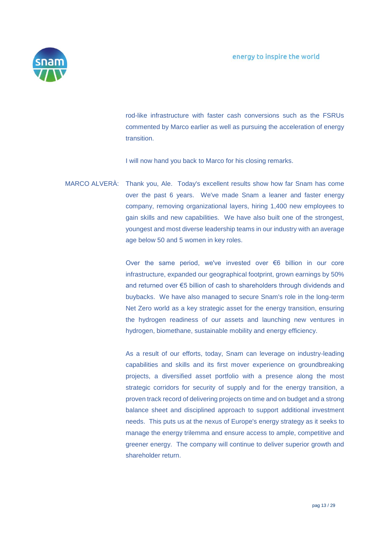

rod-like infrastructure with faster cash conversions such as the FSRUs commented by Marco earlier as well as pursuing the acceleration of energy transition.

I will now hand you back to Marco for his closing remarks.

MARCO ALVERÀ: Thank you, Ale. Today's excellent results show how far Snam has come over the past 6 years. We've made Snam a leaner and faster energy company, removing organizational layers, hiring 1,400 new employees to gain skills and new capabilities. We have also built one of the strongest, youngest and most diverse leadership teams in our industry with an average age below 50 and 5 women in key roles.

> Over the same period, we've invested over €6 billion in our core infrastructure, expanded our geographical footprint, grown earnings by 50% and returned over €5 billion of cash to shareholders through dividends and buybacks. We have also managed to secure Snam's role in the long-term Net Zero world as a key strategic asset for the energy transition, ensuring the hydrogen readiness of our assets and launching new ventures in hydrogen, biomethane, sustainable mobility and energy efficiency.

> As a result of our efforts, today, Snam can leverage on industry-leading capabilities and skills and its first mover experience on groundbreaking projects, a diversified asset portfolio with a presence along the most strategic corridors for security of supply and for the energy transition, a proven track record of delivering projects on time and on budget and a strong balance sheet and disciplined approach to support additional investment needs. This puts us at the nexus of Europe's energy strategy as it seeks to manage the energy trilemma and ensure access to ample, competitive and greener energy. The company will continue to deliver superior growth and shareholder return.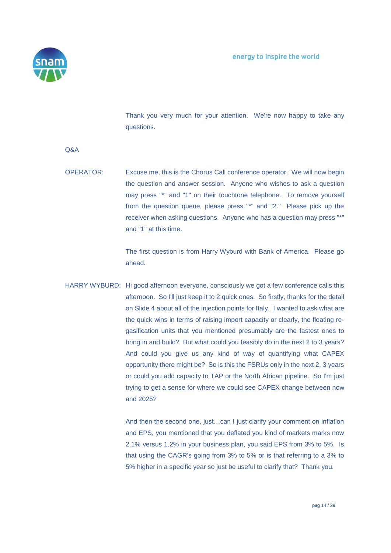

Thank you very much for your attention. We're now happy to take any questions.

Q&A

OPERATOR: Excuse me, this is the Chorus Call conference operator. We will now begin the question and answer session. Anyone who wishes to ask a question may press "\*" and "1" on their touchtone telephone. To remove yourself from the question queue, please press "\*" and "2." Please pick up the receiver when asking questions. Anyone who has a question may press "\*" and "1" at this time.

> The first question is from Harry Wyburd with Bank of America. Please go ahead.

HARRY WYBURD: Hi good afternoon everyone, consciously we got a few conference calls this afternoon. So I'll just keep it to 2 quick ones. So firstly, thanks for the detail on Slide 4 about all of the injection points for Italy. I wanted to ask what are the quick wins in terms of raising import capacity or clearly, the floating regasification units that you mentioned presumably are the fastest ones to bring in and build? But what could you feasibly do in the next 2 to 3 years? And could you give us any kind of way of quantifying what CAPEX opportunity there might be? So is this the FSRUs only in the next 2, 3 years or could you add capacity to TAP or the North African pipeline. So I'm just trying to get a sense for where we could see CAPEX change between now and 2025?

> And then the second one, just…can I just clarify your comment on inflation and EPS, you mentioned that you deflated you kind of markets marks now 2.1% versus 1.2% in your business plan, you said EPS from 3% to 5%. Is that using the CAGR's going from 3% to 5% or is that referring to a 3% to 5% higher in a specific year so just be useful to clarify that? Thank you.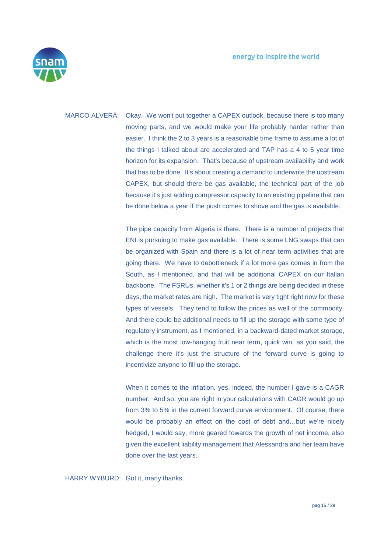

MARCO ALVERÀ: Okay. We won't put together a CAPEX outlook, because there is too many moving parts, and we would make your life probably harder rather than easier. I think the 2 to 3 years is a reasonable time frame to assume a lot of the things I talked about are accelerated and TAP has a 4 to 5 year time horizon for its expansion. That's because of upstream availability and work that has to be done. It's about creating a demand to underwrite the upstream CAPEX, but should there be gas available, the technical part of the job because it's just adding compressor capacity to an existing pipeline that can be done below a year if the push comes to shove and the gas is available.

> The pipe capacity from Algeria is there. There is a number of projects that ENI is pursuing to make gas available. There is some LNG swaps that can be organized with Spain and there is a lot of near term activities that are going there. We have to debottleneck if a lot more gas comes in from the South, as I mentioned, and that will be additional CAPEX on our Italian backbone. The FSRUs, whether it's 1 or 2 things are being decided in these days, the market rates are high. The market is very tight right now for these types of vessels. They tend to follow the prices as well of the commodity. And there could be additional needs to fill up the storage with some type of regulatory instrument, as I mentioned, in a backward-dated market storage, which is the most low-hanging fruit near term, quick win, as you said, the challenge there it's just the structure of the forward curve is going to incentivize anyone to fill up the storage.

> When it comes to the inflation, yes, indeed, the number I gave is a CAGR number. And so, you are right in your calculations with CAGR would go up from 3% to 5% in the current forward curve environment. Of course, there would be probably an effect on the cost of debt and…but we're nicely hedged, I would say, more geared towards the growth of net income, also given the excellent liability management that Alessandra and her team have done over the last years.

HARRY WYBURD: Got it, many thanks.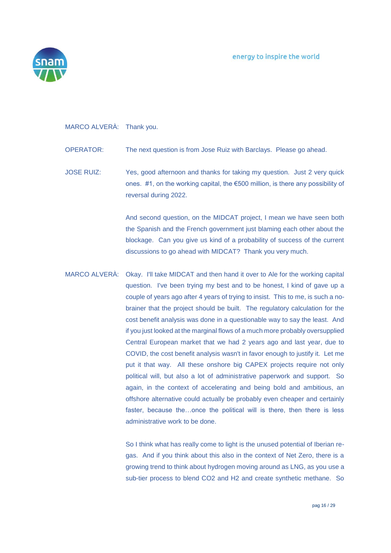

### MARCO ALVERÀ: Thank you.

- OPERATOR: The next question is from Jose Ruiz with Barclays. Please go ahead.
- JOSE RUIZ: Yes, good afternoon and thanks for taking my question. Just 2 very quick ones. #1, on the working capital, the €500 million, is there any possibility of reversal during 2022.

And second question, on the MIDCAT project, I mean we have seen both the Spanish and the French government just blaming each other about the blockage. Can you give us kind of a probability of success of the current discussions to go ahead with MIDCAT? Thank you very much.

MARCO ALVERÀ: Okay. I'll take MIDCAT and then hand it over to Ale for the working capital question. I've been trying my best and to be honest, I kind of gave up a couple of years ago after 4 years of trying to insist. This to me, is such a nobrainer that the project should be built. The regulatory calculation for the cost benefit analysis was done in a questionable way to say the least. And if you just looked at the marginal flows of a much more probably oversupplied Central European market that we had 2 years ago and last year, due to COVID, the cost benefit analysis wasn't in favor enough to justify it. Let me put it that way. All these onshore big CAPEX projects require not only political will, but also a lot of administrative paperwork and support. So again, in the context of accelerating and being bold and ambitious, an offshore alternative could actually be probably even cheaper and certainly faster, because the…once the political will is there, then there is less administrative work to be done.

> So I think what has really come to light is the unused potential of Iberian regas. And if you think about this also in the context of Net Zero, there is a growing trend to think about hydrogen moving around as LNG, as you use a sub-tier process to blend CO2 and H2 and create synthetic methane. So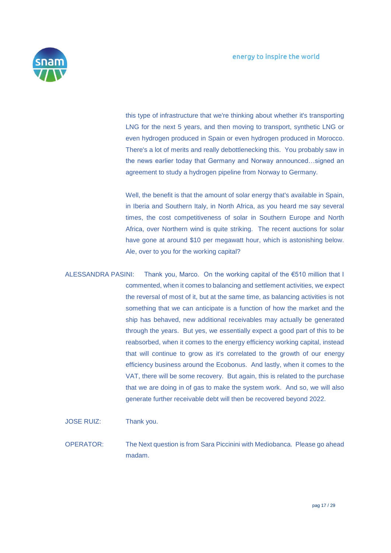

this type of infrastructure that we're thinking about whether it's transporting LNG for the next 5 years, and then moving to transport, synthetic LNG or even hydrogen produced in Spain or even hydrogen produced in Morocco. There's a lot of merits and really debottlenecking this. You probably saw in the news earlier today that Germany and Norway announced…signed an agreement to study a hydrogen pipeline from Norway to Germany.

Well, the benefit is that the amount of solar energy that's available in Spain, in Iberia and Southern Italy, in North Africa, as you heard me say several times, the cost competitiveness of solar in Southern Europe and North Africa, over Northern wind is quite striking. The recent auctions for solar have gone at around \$10 per megawatt hour, which is astonishing below. Ale, over to you for the working capital?

ALESSANDRA PASINI: Thank you, Marco. On the working capital of the €510 million that I commented, when it comes to balancing and settlement activities, we expect the reversal of most of it, but at the same time, as balancing activities is not something that we can anticipate is a function of how the market and the ship has behaved, new additional receivables may actually be generated through the years. But yes, we essentially expect a good part of this to be reabsorbed, when it comes to the energy efficiency working capital, instead that will continue to grow as it's correlated to the growth of our energy efficiency business around the Ecobonus. And lastly, when it comes to the VAT, there will be some recovery. But again, this is related to the purchase that we are doing in of gas to make the system work. And so, we will also generate further receivable debt will then be recovered beyond 2022.

JOSE RUIZ: Thank you.

OPERATOR: The Next question is from Sara Piccinini with Mediobanca. Please go ahead madam.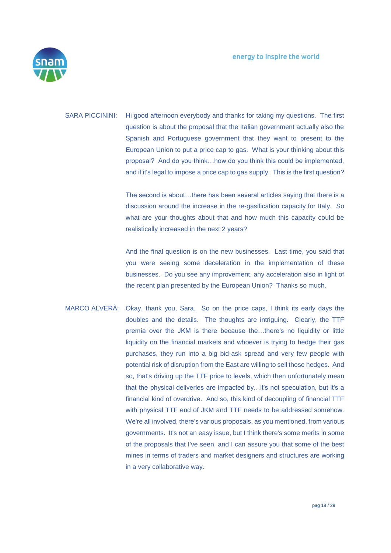

SARA PICCININI: Hi good afternoon everybody and thanks for taking my questions. The first question is about the proposal that the Italian government actually also the Spanish and Portuguese government that they want to present to the European Union to put a price cap to gas. What is your thinking about this proposal? And do you think…how do you think this could be implemented, and if it's legal to impose a price cap to gas supply. This is the first question?

> The second is about…there has been several articles saying that there is a discussion around the increase in the re-gasification capacity for Italy. So what are your thoughts about that and how much this capacity could be realistically increased in the next 2 years?

> And the final question is on the new businesses. Last time, you said that you were seeing some deceleration in the implementation of these businesses. Do you see any improvement, any acceleration also in light of the recent plan presented by the European Union? Thanks so much.

MARCO ALVERÀ: Okay, thank you, Sara. So on the price caps, I think its early days the doubles and the details. The thoughts are intriguing. Clearly, the TTF premia over the JKM is there because the…there's no liquidity or little liquidity on the financial markets and whoever is trying to hedge their gas purchases, they run into a big bid-ask spread and very few people with potential risk of disruption from the East are willing to sell those hedges. And so, that's driving up the TTF price to levels, which then unfortunately mean that the physical deliveries are impacted by…it's not speculation, but it's a financial kind of overdrive. And so, this kind of decoupling of financial TTF with physical TTF end of JKM and TTF needs to be addressed somehow. We're all involved, there's various proposals, as you mentioned, from various governments. It's not an easy issue, but I think there's some merits in some of the proposals that I've seen, and I can assure you that some of the best mines in terms of traders and market designers and structures are working in a very collaborative way.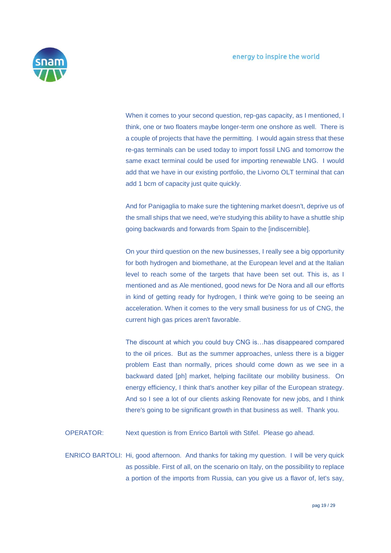

When it comes to your second question, rep-gas capacity, as I mentioned, I think, one or two floaters maybe longer-term one onshore as well. There is a couple of projects that have the permitting. I would again stress that these re-gas terminals can be used today to import fossil LNG and tomorrow the same exact terminal could be used for importing renewable LNG. I would add that we have in our existing portfolio, the Livorno OLT terminal that can add 1 bcm of capacity just quite quickly.

And for Panigaglia to make sure the tightening market doesn't, deprive us of the small ships that we need, we're studying this ability to have a shuttle ship going backwards and forwards from Spain to the [indiscernible].

On your third question on the new businesses, I really see a big opportunity for both hydrogen and biomethane, at the European level and at the Italian level to reach some of the targets that have been set out. This is, as I mentioned and as Ale mentioned, good news for De Nora and all our efforts in kind of getting ready for hydrogen, I think we're going to be seeing an acceleration. When it comes to the very small business for us of CNG, the current high gas prices aren't favorable.

The discount at which you could buy CNG is…has disappeared compared to the oil prices. But as the summer approaches, unless there is a bigger problem East than normally, prices should come down as we see in a backward dated [ph] market, helping facilitate our mobility business. On energy efficiency, I think that's another key pillar of the European strategy. And so I see a lot of our clients asking Renovate for new jobs, and I think there's going to be significant growth in that business as well. Thank you.

OPERATOR: Next question is from Enrico Bartoli with Stifel. Please go ahead.

ENRICO BARTOLI: Hi, good afternoon. And thanks for taking my question. I will be very quick as possible. First of all, on the scenario on Italy, on the possibility to replace a portion of the imports from Russia, can you give us a flavor of, let's say,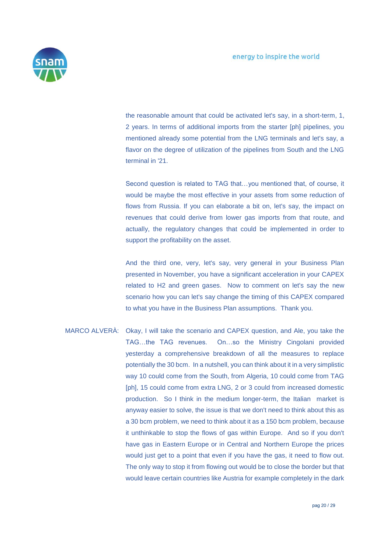

the reasonable amount that could be activated let's say, in a short-term, 1, 2 years. In terms of additional imports from the starter [ph] pipelines, you mentioned already some potential from the LNG terminals and let's say, a flavor on the degree of utilization of the pipelines from South and the LNG terminal in '21.

Second question is related to TAG that…you mentioned that, of course, it would be maybe the most effective in your assets from some reduction of flows from Russia. If you can elaborate a bit on, let's say, the impact on revenues that could derive from lower gas imports from that route, and actually, the regulatory changes that could be implemented in order to support the profitability on the asset.

And the third one, very, let's say, very general in your Business Plan presented in November, you have a significant acceleration in your CAPEX related to H2 and green gases. Now to comment on let's say the new scenario how you can let's say change the timing of this CAPEX compared to what you have in the Business Plan assumptions. Thank you.

MARCO ALVERÀ: Okay, I will take the scenario and CAPEX question, and Ale, you take the TAG…the TAG revenues. On…so the Ministry Cingolani provided yesterday a comprehensive breakdown of all the measures to replace potentially the 30 bcm. In a nutshell, you can think about it in a very simplistic way 10 could come from the South, from Algeria, 10 could come from TAG [ph], 15 could come from extra LNG, 2 or 3 could from increased domestic production. So I think in the medium longer-term, the Italian market is anyway easier to solve, the issue is that we don't need to think about this as a 30 bcm problem, we need to think about it as a 150 bcm problem, because it unthinkable to stop the flows of gas within Europe. And so if you don't have gas in Eastern Europe or in Central and Northern Europe the prices would just get to a point that even if you have the gas, it need to flow out. The only way to stop it from flowing out would be to close the border but that would leave certain countries like Austria for example completely in the dark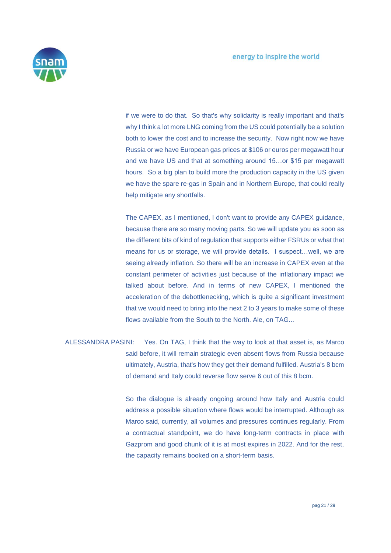

if we were to do that. So that's why solidarity is really important and that's why I think a lot more LNG coming from the US could potentially be a solution both to lower the cost and to increase the security. Now right now we have Russia or we have European gas prices at \$106 or euros per megawatt hour and we have US and that at something around 15…or \$15 per megawatt hours. So a big plan to build more the production capacity in the US given we have the spare re-gas in Spain and in Northern Europe, that could really help mitigate any shortfalls.

The CAPEX, as I mentioned, I don't want to provide any CAPEX guidance, because there are so many moving parts. So we will update you as soon as the different bits of kind of regulation that supports either FSRUs or what that means for us or storage, we will provide details. I suspect…well, we are seeing already inflation. So there will be an increase in CAPEX even at the constant perimeter of activities just because of the inflationary impact we talked about before. And in terms of new CAPEX, I mentioned the acceleration of the debottlenecking, which is quite a significant investment that we would need to bring into the next 2 to 3 years to make some of these flows available from the South to the North. Ale, on TAG...

ALESSANDRA PASINI: Yes. On TAG, I think that the way to look at that asset is, as Marco said before, it will remain strategic even absent flows from Russia because ultimately, Austria, that's how they get their demand fulfilled. Austria's 8 bcm of demand and Italy could reverse flow serve 6 out of this 8 bcm.

> So the dialogue is already ongoing around how Italy and Austria could address a possible situation where flows would be interrupted. Although as Marco said, currently, all volumes and pressures continues regularly. From a contractual standpoint, we do have long-term contracts in place with Gazprom and good chunk of it is at most expires in 2022. And for the rest, the capacity remains booked on a short-term basis.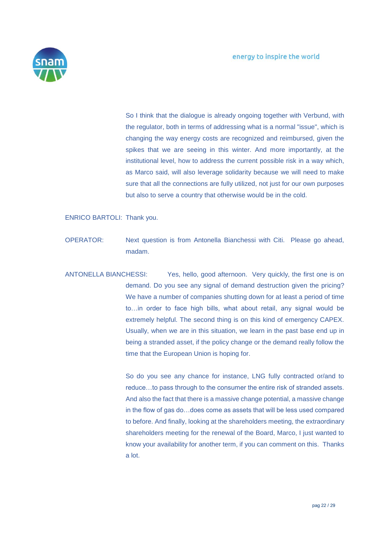

So I think that the dialogue is already ongoing together with Verbund, with the regulator, both in terms of addressing what is a normal "issue", which is changing the way energy costs are recognized and reimbursed, given the spikes that we are seeing in this winter. And more importantly, at the institutional level, how to address the current possible risk in a way which, as Marco said, will also leverage solidarity because we will need to make sure that all the connections are fully utilized, not just for our own purposes but also to serve a country that otherwise would be in the cold.

ENRICO BARTOLI: Thank you.

- OPERATOR: Next question is from Antonella Bianchessi with Citi. Please go ahead, madam.
- ANTONELLA BIANCHESSI: Yes, hello, good afternoon. Very quickly, the first one is on demand. Do you see any signal of demand destruction given the pricing? We have a number of companies shutting down for at least a period of time to…in order to face high bills, what about retail, any signal would be extremely helpful. The second thing is on this kind of emergency CAPEX. Usually, when we are in this situation, we learn in the past base end up in being a stranded asset, if the policy change or the demand really follow the time that the European Union is hoping for.

So do you see any chance for instance, LNG fully contracted or/and to reduce…to pass through to the consumer the entire risk of stranded assets. And also the fact that there is a massive change potential, a massive change in the flow of gas do…does come as assets that will be less used compared to before. And finally, looking at the shareholders meeting, the extraordinary shareholders meeting for the renewal of the Board, Marco, I just wanted to know your availability for another term, if you can comment on this. Thanks a lot.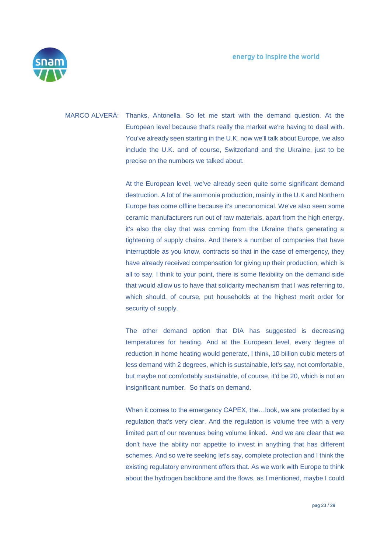

MARCO ALVERÀ: Thanks, Antonella. So let me start with the demand question. At the European level because that's really the market we're having to deal with. You've already seen starting in the U.K, now we'll talk about Europe, we also include the U.K. and of course, Switzerland and the Ukraine, just to be precise on the numbers we talked about.

> At the European level, we've already seen quite some significant demand destruction. A lot of the ammonia production, mainly in the U.K and Northern Europe has come offline because it's uneconomical. We've also seen some ceramic manufacturers run out of raw materials, apart from the high energy, it's also the clay that was coming from the Ukraine that's generating a tightening of supply chains. And there's a number of companies that have interruptible as you know, contracts so that in the case of emergency, they have already received compensation for giving up their production, which is all to say, I think to your point, there is some flexibility on the demand side that would allow us to have that solidarity mechanism that I was referring to, which should, of course, put households at the highest merit order for security of supply.

> The other demand option that DIA has suggested is decreasing temperatures for heating. And at the European level, every degree of reduction in home heating would generate, I think, 10 billion cubic meters of less demand with 2 degrees, which is sustainable, let's say, not comfortable, but maybe not comfortably sustainable, of course, it'd be 20, which is not an insignificant number. So that's on demand.

> When it comes to the emergency CAPEX, the…look, we are protected by a regulation that's very clear. And the regulation is volume free with a very limited part of our revenues being volume linked. And we are clear that we don't have the ability nor appetite to invest in anything that has different schemes. And so we're seeking let's say, complete protection and I think the existing regulatory environment offers that. As we work with Europe to think about the hydrogen backbone and the flows, as I mentioned, maybe I could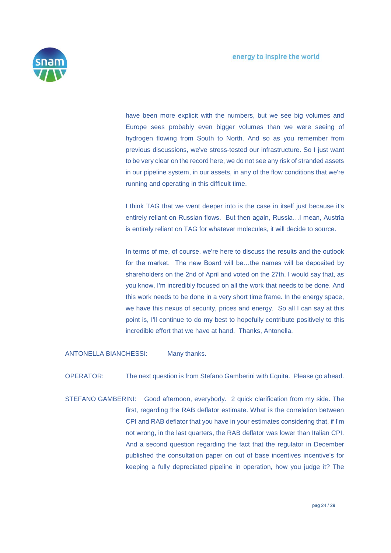

have been more explicit with the numbers, but we see big volumes and Europe sees probably even bigger volumes than we were seeing of hydrogen flowing from South to North. And so as you remember from previous discussions, we've stress-tested our infrastructure. So I just want to be very clear on the record here, we do not see any risk of stranded assets in our pipeline system, in our assets, in any of the flow conditions that we're running and operating in this difficult time.

I think TAG that we went deeper into is the case in itself just because it's entirely reliant on Russian flows. But then again, Russia…I mean, Austria is entirely reliant on TAG for whatever molecules, it will decide to source.

In terms of me, of course, we're here to discuss the results and the outlook for the market. The new Board will be…the names will be deposited by shareholders on the 2nd of April and voted on the 27th. I would say that, as you know, I'm incredibly focused on all the work that needs to be done. And this work needs to be done in a very short time frame. In the energy space, we have this nexus of security, prices and energy. So all I can say at this point is, I'll continue to do my best to hopefully contribute positively to this incredible effort that we have at hand. Thanks, Antonella.

ANTONELLA BIANCHESSI: Many thanks.

OPERATOR: The next question is from Stefano Gamberini with Equita. Please go ahead.

STEFANO GAMBERINI: Good afternoon, everybody. 2 quick clarification from my side. The first, regarding the RAB deflator estimate. What is the correlation between CPI and RAB deflator that you have in your estimates considering that, if I'm not wrong, in the last quarters, the RAB deflator was lower than Italian CPI. And a second question regarding the fact that the regulator in December published the consultation paper on out of base incentives incentive's for keeping a fully depreciated pipeline in operation, how you judge it? The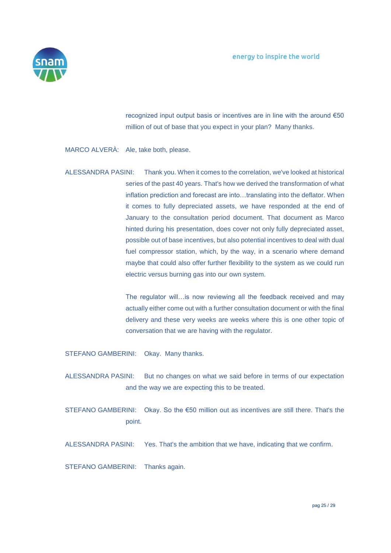

recognized input output basis or incentives are in line with the around €50 million of out of base that you expect in your plan? Many thanks.

#### MARCO ALVERÀ: Ale, take both, please.

ALESSANDRA PASINI: Thank you. When it comes to the correlation, we've looked at historical series of the past 40 years. That's how we derived the transformation of what inflation prediction and forecast are into…translating into the deflator. When it comes to fully depreciated assets, we have responded at the end of January to the consultation period document. That document as Marco hinted during his presentation, does cover not only fully depreciated asset, possible out of base incentives, but also potential incentives to deal with dual fuel compressor station, which, by the way, in a scenario where demand maybe that could also offer further flexibility to the system as we could run electric versus burning gas into our own system.

> The regulator will…is now reviewing all the feedback received and may actually either come out with a further consultation document or with the final delivery and these very weeks are weeks where this is one other topic of conversation that we are having with the regulator.

STEFANO GAMBERINI: Okay. Many thanks.

- ALESSANDRA PASINI: But no changes on what we said before in terms of our expectation and the way we are expecting this to be treated.
- STEFANO GAMBERINI: Okay. So the €50 million out as incentives are still there. That's the point.
- ALESSANDRA PASINI: Yes. That's the ambition that we have, indicating that we confirm.

STEFANO GAMBERINI: Thanks again.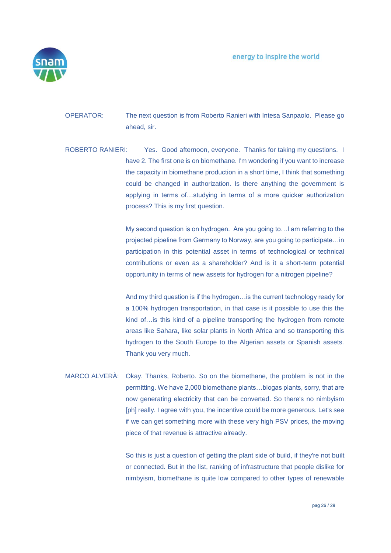energy to inspire the world



- OPERATOR: The next question is from Roberto Ranieri with Intesa Sanpaolo. Please go ahead, sir.
- ROBERTO RANIERI: Yes. Good afternoon, everyone. Thanks for taking my questions. I have 2. The first one is on biomethane. I'm wondering if you want to increase the capacity in biomethane production in a short time, I think that something could be changed in authorization. Is there anything the government is applying in terms of…studying in terms of a more quicker authorization process? This is my first question.

My second question is on hydrogen. Are you going to…I am referring to the projected pipeline from Germany to Norway, are you going to participate…in participation in this potential asset in terms of technological or technical contributions or even as a shareholder? And is it a short-term potential opportunity in terms of new assets for hydrogen for a nitrogen pipeline?

And my third question is if the hydrogen…is the current technology ready for a 100% hydrogen transportation, in that case is it possible to use this the kind of…is this kind of a pipeline transporting the hydrogen from remote areas like Sahara, like solar plants in North Africa and so transporting this hydrogen to the South Europe to the Algerian assets or Spanish assets. Thank you very much.

MARCO ALVERÀ: Okay. Thanks, Roberto. So on the biomethane, the problem is not in the permitting. We have 2,000 biomethane plants…biogas plants, sorry, that are now generating electricity that can be converted. So there's no nimbyism [ph] really. I agree with you, the incentive could be more generous. Let's see if we can get something more with these very high PSV prices, the moving piece of that revenue is attractive already.

> So this is just a question of getting the plant side of build, if they're not built or connected. But in the list, ranking of infrastructure that people dislike for nimbyism, biomethane is quite low compared to other types of renewable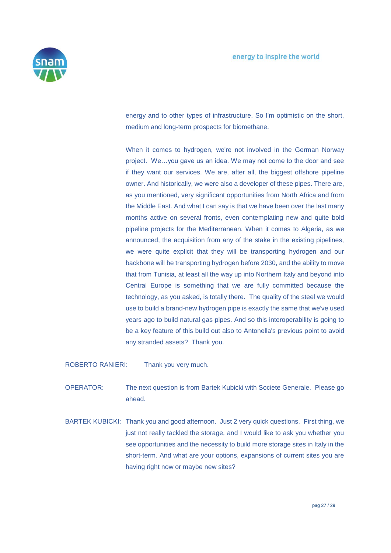

energy and to other types of infrastructure. So I'm optimistic on the short, medium and long-term prospects for biomethane.

When it comes to hydrogen, we're not involved in the German Norway project. We…you gave us an idea. We may not come to the door and see if they want our services. We are, after all, the biggest offshore pipeline owner. And historically, we were also a developer of these pipes. There are, as you mentioned, very significant opportunities from North Africa and from the Middle East. And what I can say is that we have been over the last many months active on several fronts, even contemplating new and quite bold pipeline projects for the Mediterranean. When it comes to Algeria, as we announced, the acquisition from any of the stake in the existing pipelines, we were quite explicit that they will be transporting hydrogen and our backbone will be transporting hydrogen before 2030, and the ability to move that from Tunisia, at least all the way up into Northern Italy and beyond into Central Europe is something that we are fully committed because the technology, as you asked, is totally there. The quality of the steel we would use to build a brand-new hydrogen pipe is exactly the same that we've used years ago to build natural gas pipes. And so this interoperability is going to be a key feature of this build out also to Antonella's previous point to avoid any stranded assets? Thank you.

ROBERTO RANIERI: Thank you very much.

- OPERATOR: The next question is from Bartek Kubicki with Societe Generale. Please go ahead.
- BARTEK KUBICKI: Thank you and good afternoon. Just 2 very quick questions. First thing, we just not really tackled the storage, and I would like to ask you whether you see opportunities and the necessity to build more storage sites in Italy in the short-term. And what are your options, expansions of current sites you are having right now or maybe new sites?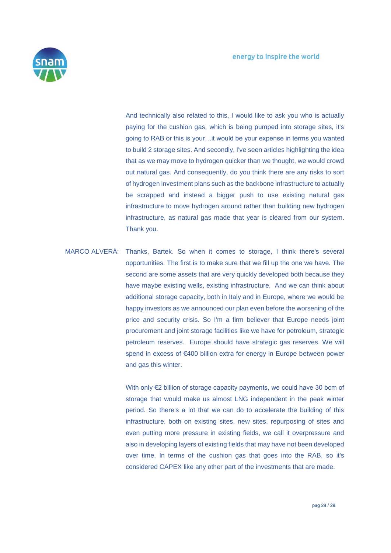

And technically also related to this, I would like to ask you who is actually paying for the cushion gas, which is being pumped into storage sites, it's going to RAB or this is your…it would be your expense in terms you wanted to build 2 storage sites. And secondly, I've seen articles highlighting the idea that as we may move to hydrogen quicker than we thought, we would crowd out natural gas. And consequently, do you think there are any risks to sort of hydrogen investment plans such as the backbone infrastructure to actually be scrapped and instead a bigger push to use existing natural gas infrastructure to move hydrogen around rather than building new hydrogen infrastructure, as natural gas made that year is cleared from our system. Thank you.

MARCO ALVERÀ: Thanks, Bartek. So when it comes to storage, I think there's several opportunities. The first is to make sure that we fill up the one we have. The second are some assets that are very quickly developed both because they have maybe existing wells, existing infrastructure. And we can think about additional storage capacity, both in Italy and in Europe, where we would be happy investors as we announced our plan even before the worsening of the price and security crisis. So I'm a firm believer that Europe needs joint procurement and joint storage facilities like we have for petroleum, strategic petroleum reserves. Europe should have strategic gas reserves. We will spend in excess of €400 billion extra for energy in Europe between power and gas this winter.

> With only €2 billion of storage capacity payments, we could have 30 bcm of storage that would make us almost LNG independent in the peak winter period. So there's a lot that we can do to accelerate the building of this infrastructure, both on existing sites, new sites, repurposing of sites and even putting more pressure in existing fields, we call it overpressure and also in developing layers of existing fields that may have not been developed over time. In terms of the cushion gas that goes into the RAB, so it's considered CAPEX like any other part of the investments that are made.